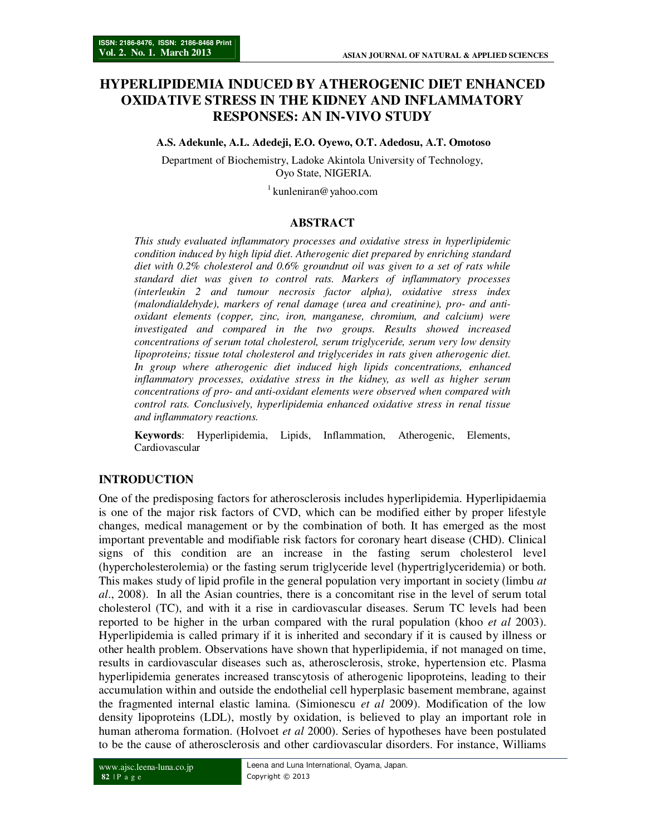# **HYPERLIPIDEMIA INDUCED BY ATHEROGENIC DIET ENHANCED OXIDATIVE STRESS IN THE KIDNEY AND INFLAMMATORY RESPONSES: AN IN-VIVO STUDY**

**A.S. Adekunle, A.L. Adedeji, E.O. Oyewo, O.T. Adedosu, A.T. Omotoso** 

Department of Biochemistry, Ladoke Akintola University of Technology, Oyo State, NIGERIA.

 $1$  kunleniran@yahoo.com

# **ABSTRACT**

*This study evaluated inflammatory processes and oxidative stress in hyperlipidemic condition induced by high lipid diet. Atherogenic diet prepared by enriching standard diet with 0.2% cholesterol and 0.6% groundnut oil was given to a set of rats while standard diet was given to control rats. Markers of inflammatory processes (interleukin 2 and tumour necrosis factor alpha), oxidative stress index (malondialdehyde), markers of renal damage (urea and creatinine), pro- and antioxidant elements (copper, zinc, iron, manganese, chromium, and calcium) were investigated and compared in the two groups. Results showed increased concentrations of serum total cholesterol, serum triglyceride, serum very low density lipoproteins; tissue total cholesterol and triglycerides in rats given atherogenic diet. In group where atherogenic diet induced high lipids concentrations, enhanced inflammatory processes, oxidative stress in the kidney, as well as higher serum concentrations of pro- and anti-oxidant elements were observed when compared with control rats. Conclusively, hyperlipidemia enhanced oxidative stress in renal tissue and inflammatory reactions.* 

**Keywords**: Hyperlipidemia, Lipids, Inflammation, Atherogenic, Elements, Cardiovascular

# **INTRODUCTION**

One of the predisposing factors for atherosclerosis includes hyperlipidemia. Hyperlipidaemia is one of the major risk factors of CVD, which can be modified either by proper lifestyle changes, medical management or by the combination of both. It has emerged as the most important preventable and modifiable risk factors for coronary heart disease (CHD). Clinical signs of this condition are an increase in the fasting serum cholesterol level (hypercholesterolemia) or the fasting serum triglyceride level (hypertriglyceridemia) or both. This makes study of lipid profile in the general population very important in society (limbu *at al*., 2008). In all the Asian countries, there is a concomitant rise in the level of serum total cholesterol (TC), and with it a rise in cardiovascular diseases. Serum TC levels had been reported to be higher in the urban compared with the rural population (khoo *et al* 2003). Hyperlipidemia is called primary if it is inherited and secondary if it is caused by illness or other health problem. Observations have shown that hyperlipidemia, if not managed on time, results in cardiovascular diseases such as, atherosclerosis, stroke, hypertension etc. Plasma hyperlipidemia generates increased transcytosis of atherogenic lipoproteins, leading to their accumulation within and outside the endothelial cell hyperplasic basement membrane, against the fragmented internal elastic lamina. (Simionescu *et al* 2009). Modification of the low density lipoproteins (LDL), mostly by oxidation, is believed to play an important role in human atheroma formation. (Holvoet *et al* 2000). Series of hypotheses have been postulated to be the cause of atherosclerosis and other cardiovascular disorders. For instance, Williams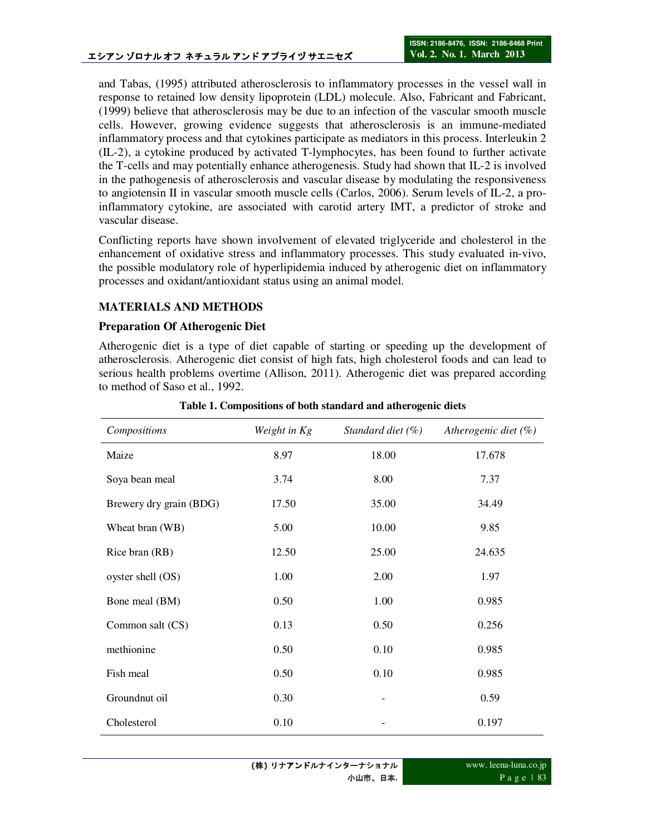and Tabas, (1995) attributed atherosclerosis to inflammatory processes in the vessel wall in response to retained low density lipoprotein (LDL) molecule. Also, Fabricant and Fabricant, (1999) believe that atherosclerosis may be due to an infection of the vascular smooth muscle cells. However, growing evidence suggests that atherosclerosis is an immune-mediated inflammatory process and that cytokines participate as mediators in this process. Interleukin 2 (IL-2), a cytokine produced by activated T-lymphocytes, has been found to further activate the T-cells and may potentially enhance atherogenesis. Study had shown that IL-2 is involved in the pathogenesis of atherosclerosis and vascular disease by modulating the responsiveness to angiotensin II in vascular smooth muscle cells (Carlos, 2006). Serum levels of IL-2, a proinflammatory cytokine, are associated with carotid artery IMT, a predictor of stroke and vascular disease.

Conflicting reports have shown involvement of elevated triglyceride and cholesterol in the enhancement of oxidative stress and inflammatory processes. This study evaluated in-vivo, the possible modulatory role of hyperlipidemia induced by atherogenic diet on inflammatory processes and oxidant/antioxidant status using an animal model.

# **MATERIALS AND METHODS**

## **Preparation Of Atherogenic Diet**

Atherogenic diet is a type of diet capable of starting or speeding up the development of atherosclerosis. Atherogenic diet consist of high fats, high cholesterol foods and can lead to serious health problems overtime (Allison, 2011). Atherogenic diet was prepared according to method of Saso et al., 1992.

| Compositions            | Weight in Kg | Standard diet $(\% )$ | Atherogenic diet $(\%)$ |
|-------------------------|--------------|-----------------------|-------------------------|
| Maize                   | 8.97         | 18.00                 | 17.678                  |
| Soya bean meal          | 3.74         | 8.00                  | 7.37                    |
| Brewery dry grain (BDG) | 17.50        | 35.00                 | 34.49                   |
| Wheat bran (WB)         | 5.00         | 10.00                 | 9.85                    |
| Rice bran (RB)          | 12.50        | 25.00                 | 24.635                  |
| oyster shell (OS)       | 1.00         | 2.00                  | 1.97                    |
| Bone meal (BM)          | 0.50         | 1.00                  | 0.985                   |
| Common salt (CS)        | 0.13         | 0.50                  | 0.256                   |
| methionine              | 0.50         | 0.10                  | 0.985                   |
| Fish meal               | 0.50         | 0.10                  | 0.985                   |
| Groundnut oil           | 0.30         |                       | 0.59                    |
| Cholesterol             | 0.10         |                       | 0.197                   |

**Table 1. Compositions of both standard and atherogenic diets**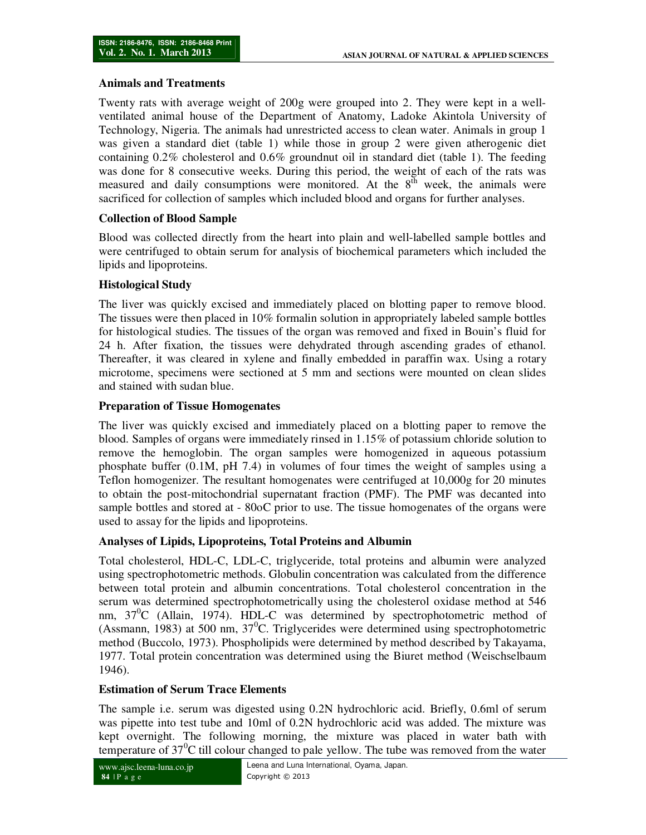#### **Animals and Treatments**

Twenty rats with average weight of 200g were grouped into 2. They were kept in a wellventilated animal house of the Department of Anatomy, Ladoke Akintola University of Technology, Nigeria. The animals had unrestricted access to clean water. Animals in group 1 was given a standard diet (table 1) while those in group 2 were given atherogenic diet containing 0.2% cholesterol and 0.6% groundnut oil in standard diet (table 1). The feeding was done for 8 consecutive weeks. During this period, the weight of each of the rats was measured and daily consumptions were monitored. At the  $8<sup>th</sup>$  week, the animals were sacrificed for collection of samples which included blood and organs for further analyses.

# **Collection of Blood Sample**

Blood was collected directly from the heart into plain and well-labelled sample bottles and were centrifuged to obtain serum for analysis of biochemical parameters which included the lipids and lipoproteins.

# **Histological Study**

The liver was quickly excised and immediately placed on blotting paper to remove blood. The tissues were then placed in 10% formalin solution in appropriately labeled sample bottles for histological studies. The tissues of the organ was removed and fixed in Bouin's fluid for 24 h. After fixation, the tissues were dehydrated through ascending grades of ethanol. Thereafter, it was cleared in xylene and finally embedded in paraffin wax. Using a rotary microtome, specimens were sectioned at 5 mm and sections were mounted on clean slides and stained with sudan blue.

# **Preparation of Tissue Homogenates**

The liver was quickly excised and immediately placed on a blotting paper to remove the blood. Samples of organs were immediately rinsed in 1.15% of potassium chloride solution to remove the hemoglobin. The organ samples were homogenized in aqueous potassium phosphate buffer (0.1M, pH 7.4) in volumes of four times the weight of samples using a Teflon homogenizer. The resultant homogenates were centrifuged at 10,000g for 20 minutes to obtain the post-mitochondrial supernatant fraction (PMF). The PMF was decanted into sample bottles and stored at - 80oC prior to use. The tissue homogenates of the organs were used to assay for the lipids and lipoproteins.

## **Analyses of Lipids, Lipoproteins, Total Proteins and Albumin**

Total cholesterol, HDL-C, LDL-C, triglyceride, total proteins and albumin were analyzed using spectrophotometric methods. Globulin concentration was calculated from the difference between total protein and albumin concentrations. Total cholesterol concentration in the serum was determined spectrophotometrically using the cholesterol oxidase method at 546 nm,  $37^0C$  (Allain, 1974). HDL-C was determined by spectrophotometric method of (Assmann, 1983) at 500 nm,  $37^{\circ}$ C. Triglycerides were determined using spectrophotometric method (Buccolo, 1973). Phospholipids were determined by method described by Takayama, 1977. Total protein concentration was determined using the Biuret method (Weischselbaum 1946).

## **Estimation of Serum Trace Elements**

The sample i.e. serum was digested using 0.2N hydrochloric acid. Briefly, 0.6ml of serum was pipette into test tube and 10ml of 0.2N hydrochloric acid was added. The mixture was kept overnight. The following morning, the mixture was placed in water bath with temperature of  $37^{\circ}$ C till colour changed to pale yellow. The tube was removed from the water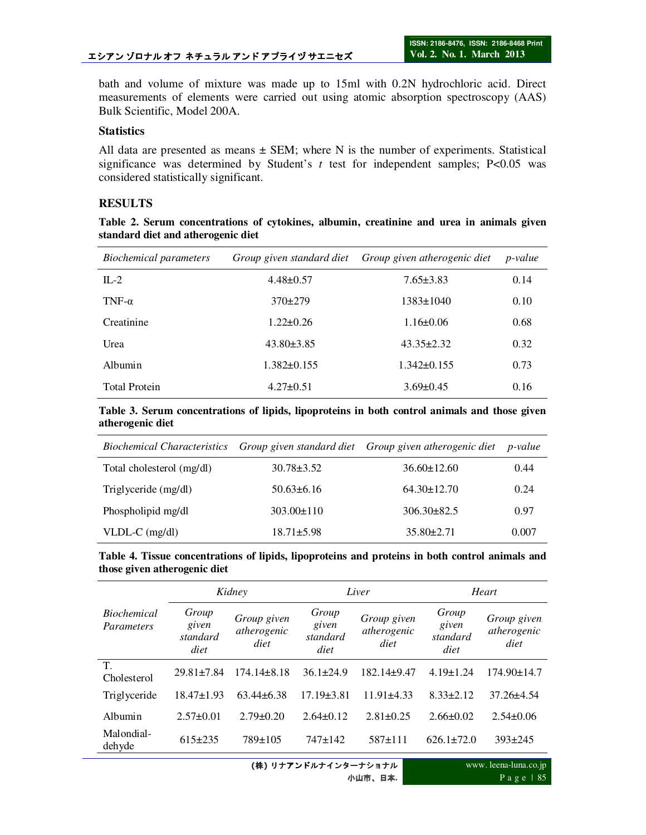bath and volume of mixture was made up to 15ml with 0.2N hydrochloric acid. Direct measurements of elements were carried out using atomic absorption spectroscopy (AAS) Bulk Scientific, Model 200A.

## **Statistics**

All data are presented as means  $\pm$  SEM; where N is the number of experiments. Statistical significance was determined by Student's  $t$  test for independent samples; P<0.05 was considered statistically significant.

# **RESULTS**

**Table 2. Serum concentrations of cytokines, albumin, creatinine and urea in animals given standard diet and atherogenic diet** 

| Biochemical parameters |                   | Group given standard diet Group given atherogenic diet | <i>p</i> -value |
|------------------------|-------------------|--------------------------------------------------------|-----------------|
| $IL-2$                 | $4.48 \pm 0.57$   | $7.65 \pm 3.83$                                        | 0.14            |
| TNF- $\alpha$          | $370+279$         | $1383 \pm 1040$                                        | 0.10            |
| Creatinine             | $1.22 \pm 0.26$   | $1.16 \pm 0.06$                                        | 0.68            |
| Urea                   | $43.80 \pm 3.85$  | $43.35 \pm 2.32$                                       | 0.32            |
| Albumin                | $1.382 \pm 0.155$ | $1.342\pm0.155$                                        | 0.73            |
| <b>Total Protein</b>   | $4.27 \pm 0.51$   | $3.69 \pm 0.45$                                        | 0.16            |

**Table 3. Serum concentrations of lipids, lipoproteins in both control animals and those given atherogenic diet** 

|                           |                  | Biochemical Characteristics Group given standard diet Group given atherogenic diet p-value |       |
|---------------------------|------------------|--------------------------------------------------------------------------------------------|-------|
| Total cholesterol (mg/dl) | $30.78 \pm 3.52$ | $36.60 \pm 12.60$                                                                          | 0.44  |
| Triglyceride (mg/dl)      | $50.63 \pm 6.16$ | $64.30 \pm 12.70$                                                                          | 0.24  |
| Phospholipid mg/dl        | $303.00 \pm 110$ | $306.30 \pm 82.5$                                                                          | 0.97  |
| $VLDL-C$ (mg/dl)          | $18.71 \pm 5.98$ | $35.80 \pm 2.71$                                                                           | 0.007 |

|  | Table 4. Tissue concentrations of lipids, lipoproteins and proteins in both control animals and |  |  |  |  |  |
|--|-------------------------------------------------------------------------------------------------|--|--|--|--|--|
|  | those given atherogenic diet                                                                    |  |  |  |  |  |

|                                  | Kidney                             |                                    |                                    | Liver                              | Heart                              |                                    |  |
|----------------------------------|------------------------------------|------------------------------------|------------------------------------|------------------------------------|------------------------------------|------------------------------------|--|
| <b>Biochemical</b><br>Parameters | Group<br>given<br>standard<br>diet | Group given<br>atherogenic<br>diet | Group<br>given<br>standard<br>diet | Group given<br>atherogenic<br>diet | Group<br>given<br>standard<br>diet | Group given<br>atherogenic<br>diet |  |
| T.<br>Cholesterol                | $29.81 + 7.84$                     | $174.14 + 8.18$                    | $36.1 \pm 24.9$                    | 182.14±9.47                        | $4.19 \pm 1.24$                    | 174.90±14.7                        |  |
| Triglyceride                     | $18.47 \pm 1.93$                   | $63.44\pm 6.38$                    | $17.19 \pm 3.81$                   | $11.91\pm4.33$                     | $8.33 \pm 2.12$                    | $37.26 \pm 4.54$                   |  |
| Albumin                          | $2.57\pm0.01$                      | $2.79 \pm 0.20$                    | $2.64\pm0.12$                      | $2.81 \pm 0.25$                    | $2.66 \pm 0.02$                    | $2.54\pm0.06$                      |  |
| Malondial-<br>dehyde             | $615 \pm 235$                      | 789±105                            | $747 \pm 142$                      | $587+111$                          | $626.1 \pm 72.0$                   | $393 \pm 245$                      |  |

**(**株**)** リナアンドルナインターナショナル 小山市、日本**.** www. leena-luna.co.jp P a g e | 85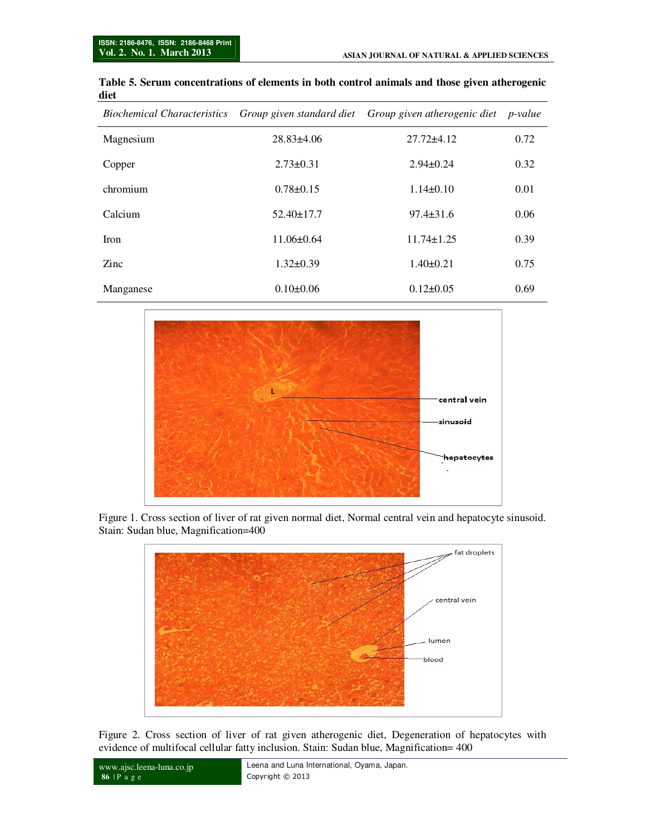| <i>Biochemical Characteristics</i> |                  | Group given standard diet Group given atherogenic diet p-value |      |
|------------------------------------|------------------|----------------------------------------------------------------|------|
| Magnesium                          | $28.83\pm4.06$   | $27.72 \pm 4.12$                                               | 0.72 |
| Copper                             | $2.73 \pm 0.31$  | $2.94\pm0.24$                                                  | 0.32 |
| chromium                           | $0.78 \pm 0.15$  | $1.14\pm0.10$                                                  | 0.01 |
| Calcium                            | $52.40 \pm 17.7$ | $97.4 \pm 31.6$                                                | 0.06 |
| <b>Iron</b>                        | $11.06\pm0.64$   | $11.74 \pm 1.25$                                               | 0.39 |
| Zinc                               | $1.32 \pm 0.39$  | $1.40 \pm 0.21$                                                | 0.75 |
| Manganese                          | $0.10\pm0.06$    | $0.12 \pm 0.05$                                                | 0.69 |

#### **Table 5. Serum concentrations of elements in both control animals and those given atherogenic diet**



Figure 1. Cross section of liver of rat given normal diet, Normal central vein and hepatocyte sinusoid. Stain: Sudan blue, Magnification=400



Figure 2. Cross section of liver of rat given atherogenic diet, Degeneration of hepatocytes with evidence of multifocal cellular fatty inclusion. Stain: Sudan blue, Magnification= 400

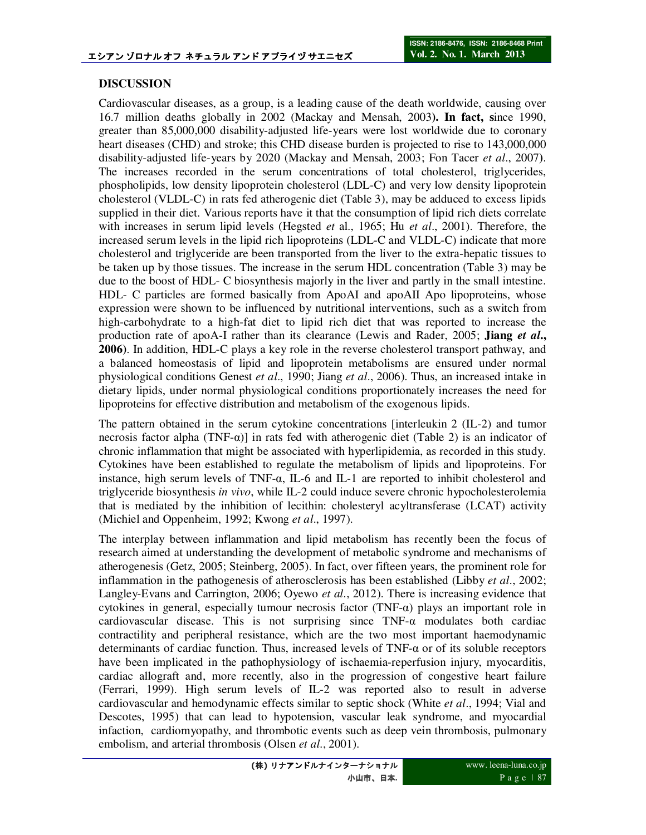# **DISCUSSION**

Cardiovascular diseases, as a group, is a leading cause of the death worldwide, causing over 16.7 million deaths globally in 2002 (Mackay and Mensah, 2003**). In fact, s**ince 1990, greater than 85,000,000 disability-adjusted life-years were lost worldwide due to coronary heart diseases (CHD) and stroke; this CHD disease burden is projected to rise to  $143,000,000$ disability-adjusted life-years by 2020 (Mackay and Mensah, 2003; Fon Tacer *et al*., 2007**)**. The increases recorded in the serum concentrations of total cholesterol, triglycerides, phospholipids, low density lipoprotein cholesterol (LDL-C) and very low density lipoprotein cholesterol (VLDL-C) in rats fed atherogenic diet (Table 3), may be adduced to excess lipids supplied in their diet. Various reports have it that the consumption of lipid rich diets correlate with increases in serum lipid levels (Hegsted *et* al., 1965; Hu *et al*., 2001). Therefore, the increased serum levels in the lipid rich lipoproteins (LDL-C and VLDL-C) indicate that more cholesterol and triglyceride are been transported from the liver to the extra-hepatic tissues to be taken up by those tissues. The increase in the serum HDL concentration (Table 3) may be due to the boost of HDL- C biosynthesis majorly in the liver and partly in the small intestine. HDL- C particles are formed basically from ApoAI and apoAII Apo lipoproteins, whose expression were shown to be influenced by nutritional interventions, such as a switch from high-carbohydrate to a high-fat diet to lipid rich diet that was reported to increase the production rate of apoA-I rather than its clearance (Lewis and Rader, 2005; **Jiang** *et al***., 2006)**. In addition, HDL-C plays a key role in the reverse cholesterol transport pathway, and a balanced homeostasis of lipid and lipoprotein metabolisms are ensured under normal physiological conditions Genest *et al*., 1990; Jiang *et al*., 2006). Thus, an increased intake in dietary lipids, under normal physiological conditions proportionately increases the need for lipoproteins for effective distribution and metabolism of the exogenous lipids.

The pattern obtained in the serum cytokine concentrations [interleukin 2 (IL-2) and tumor necrosis factor alpha (TNF- $\alpha$ ) in rats fed with atherogenic diet (Table 2) is an indicator of chronic inflammation that might be associated with hyperlipidemia, as recorded in this study. Cytokines have been established to regulate the metabolism of lipids and lipoproteins. For instance, high serum levels of TNF- $\alpha$ , IL-6 and IL-1 are reported to inhibit cholesterol and triglyceride biosynthesis *in vivo*, while IL-2 could induce severe chronic hypocholesterolemia that is mediated by the inhibition of lecithin: cholesteryl acyltransferase (LCAT) activity (Michiel and Oppenheim, 1992; Kwong *et al*., 1997).

The interplay between inflammation and lipid metabolism has recently been the focus of research aimed at understanding the development of metabolic syndrome and mechanisms of atherogenesis (Getz, 2005; Steinberg, 2005). In fact, over fifteen years, the prominent role for inflammation in the pathogenesis of atherosclerosis has been established (Libby *et al*., 2002; Langley-Evans and Carrington, 2006; Oyewo *et al*., 2012). There is increasing evidence that cytokines in general, especially tumour necrosis factor (TNF-α) plays an important role in cardiovascular disease. This is not surprising since TNF-α modulates both cardiac contractility and peripheral resistance, which are the two most important haemodynamic determinants of cardiac function. Thus, increased levels of TNF-α or of its soluble receptors have been implicated in the pathophysiology of ischaemia-reperfusion injury, myocarditis, cardiac allograft and, more recently, also in the progression of congestive heart failure (Ferrari, 1999). High serum levels of IL-2 was reported also to result in adverse cardiovascular and hemodynamic effects similar to septic shock (White *et al*., 1994; Vial and Descotes, 1995) that can lead to hypotension, vascular leak syndrome, and myocardial infaction, cardiomyopathy, and thrombotic events such as deep vein thrombosis, pulmonary embolism, and arterial thrombosis (Olsen *et al*., 2001).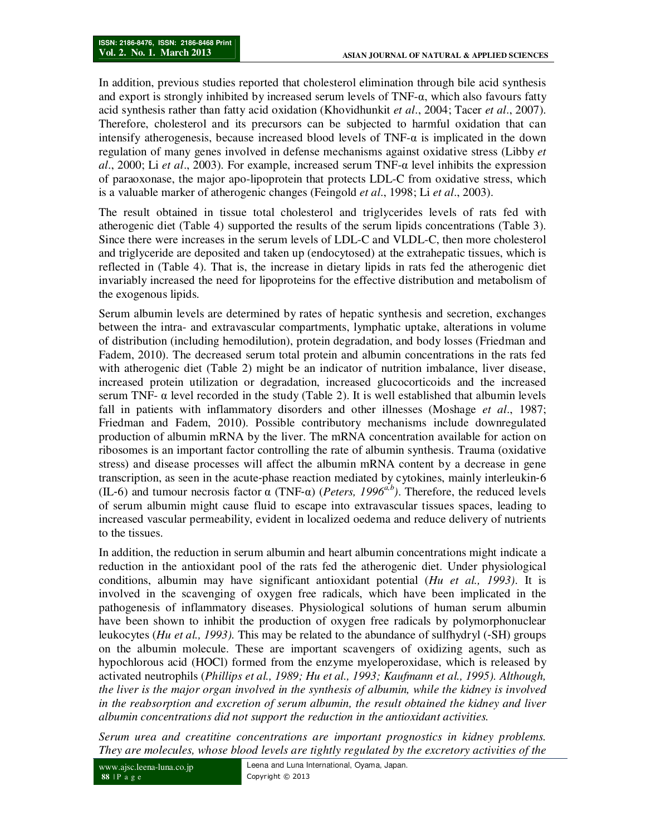In addition, previous studies reported that cholesterol elimination through bile acid synthesis and export is strongly inhibited by increased serum levels of  $TNF-\alpha$ , which also favours fatty acid synthesis rather than fatty acid oxidation (Khovidhunkit *et al*., 2004; Tacer *et al*., 2007). Therefore, cholesterol and its precursors can be subjected to harmful oxidation that can intensify atherogenesis, because increased blood levels of  $TNF-\alpha$  is implicated in the down regulation of many genes involved in defense mechanisms against oxidative stress (Libby *et al*., 2000; Li *et al*., 2003). For example, increased serum TNF-α level inhibits the expression of paraoxonase, the major apo-lipoprotein that protects LDL-C from oxidative stress, which is a valuable marker of atherogenic changes (Feingold *et al*., 1998; Li *et al*., 2003).

The result obtained in tissue total cholesterol and triglycerides levels of rats fed with atherogenic diet (Table 4) supported the results of the serum lipids concentrations (Table 3). Since there were increases in the serum levels of LDL-C and VLDL-C, then more cholesterol and triglyceride are deposited and taken up (endocytosed) at the extrahepatic tissues, which is reflected in (Table 4). That is, the increase in dietary lipids in rats fed the atherogenic diet invariably increased the need for lipoproteins for the effective distribution and metabolism of the exogenous lipids.

Serum albumin levels are determined by rates of hepatic synthesis and secretion, exchanges between the intra- and extravascular compartments, lymphatic uptake, alterations in volume of distribution (including hemodilution), protein degradation, and body losses (Friedman and Fadem, 2010). The decreased serum total protein and albumin concentrations in the rats fed with atherogenic diet (Table 2) might be an indicator of nutrition imbalance, liver disease, increased protein utilization or degradation, increased glucocorticoids and the increased serum TNF-  $\alpha$  level recorded in the study (Table 2). It is well established that albumin levels fall in patients with inflammatory disorders and other illnesses (Moshage *et al*., 1987; Friedman and Fadem, 2010). Possible contributory mechanisms include downregulated production of albumin mRNA by the liver. The mRNA concentration available for action on ribosomes is an important factor controlling the rate of albumin synthesis. Trauma (oxidative stress) and disease processes will affect the albumin mRNA content by a decrease in gene transcription, as seen in the acute‐phase reaction mediated by cytokines, mainly interleukin‐6 (IL-6) and tumour necrosis factor  $\alpha$  (TNF- $\alpha$ ) (*Peters, 1996<sup>* $a,b$ *</sup>*). Therefore, the reduced levels of serum albumin might cause fluid to escape into extravascular tissues spaces, leading to increased vascular permeability, evident in localized oedema and reduce delivery of nutrients to the tissues.

In addition, the reduction in serum albumin and heart albumin concentrations might indicate a reduction in the antioxidant pool of the rats fed the atherogenic diet. Under physiological conditions, albumin may have significant antioxidant potential (*Hu et al., 1993)*. It is involved in the scavenging of oxygen free radicals, which have been implicated in the pathogenesis of inflammatory diseases. Physiological solutions of human serum albumin have been shown to inhibit the production of oxygen free radicals by polymorphonuclear leukocytes (*Hu et al., 1993).* This may be related to the abundance of sulfhydryl (‐SH) groups on the albumin molecule. These are important scavengers of oxidizing agents, such as hypochlorous acid (HOCl) formed from the enzyme myeloperoxidase, which is released by activated neutrophils (*Phillips et al., 1989; Hu et al., 1993; Kaufmann et al., 1995). Although, the liver is the major organ involved in the synthesis of albumin, while the kidney is involved in the reabsorption and excretion of serum albumin, the result obtained the kidney and liver albumin concentrations did not support the reduction in the antioxidant activities.* 

*Serum urea and creatitine concentrations are important prognostics in kidney problems. They are molecules, whose blood levels are tightly regulated by the excretory activities of the*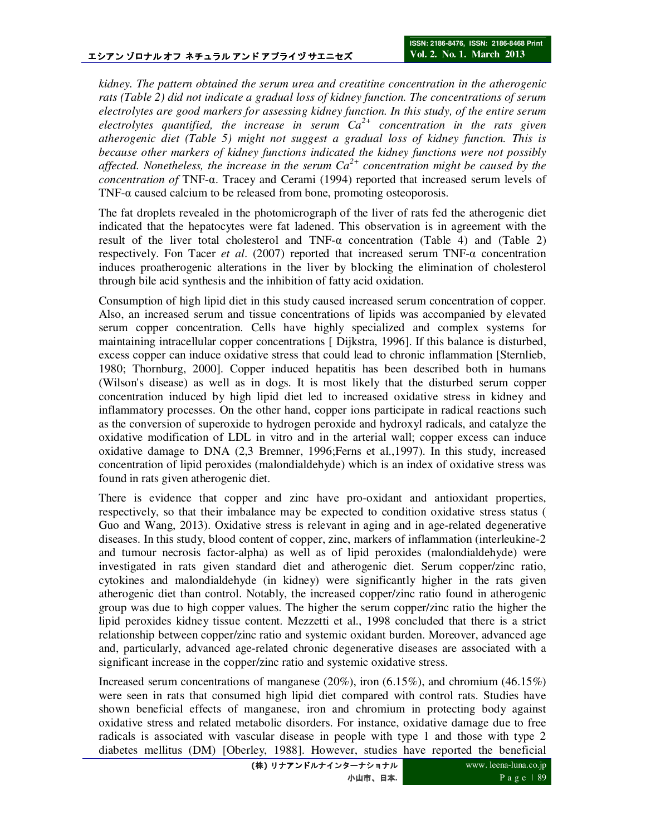*kidney. The pattern obtained the serum urea and creatitine concentration in the atherogenic rats (Table 2) did not indicate a gradual loss of kidney function. The concentrations of serum electrolytes are good markers for assessing kidney function. In this study, of the entire serum electrolytes quantified, the increase in serum Ca2+ concentration in the rats given atherogenic diet (Table 5) might not suggest a gradual loss of kidney function. This is because other markers of kidney functions indicated the kidney functions were not possibly affected. Nonetheless, the increase in the serum Ca2+ concentration might be caused by the concentration of* TNF-α. Tracey and Cerami (1994) reported that increased serum levels of TNF- $\alpha$  caused calcium to be released from bone, promoting osteoporosis.

The fat droplets revealed in the photomicrograph of the liver of rats fed the atherogenic diet indicated that the hepatocytes were fat ladened. This observation is in agreement with the result of the liver total cholesterol and TNF- $\alpha$  concentration (Table 4) and (Table 2) respectively. Fon Tacer *et al*. (2007) reported that increased serum TNF-α concentration induces proatherogenic alterations in the liver by blocking the elimination of cholesterol through bile acid synthesis and the inhibition of fatty acid oxidation.

Consumption of high lipid diet in this study caused increased serum concentration of copper. Also, an increased serum and tissue concentrations of lipids was accompanied by elevated serum copper concentration. Cells have highly specialized and complex systems for maintaining intracellular copper concentrations [ Dijkstra, 1996]. If this balance is disturbed, excess copper can induce oxidative stress that could lead to chronic inflammation [Sternlieb, 1980; Thornburg, 2000]. Copper induced hepatitis has been described both in humans (Wilson's disease) as well as in dogs. It is most likely that the disturbed serum copper concentration induced by high lipid diet led to increased oxidative stress in kidney and inflammatory processes. On the other hand, copper ions participate in radical reactions such as the conversion of superoxide to hydrogen peroxide and hydroxyl radicals, and catalyze the oxidative modification of LDL in vitro and in the arterial wall; copper excess can induce oxidative damage to DNA (2,3 Bremner, 1996;Ferns et al.,1997). In this study, increased concentration of lipid peroxides (malondialdehyde) which is an index of oxidative stress was found in rats given atherogenic diet.

There is evidence that copper and zinc have pro-oxidant and antioxidant properties, respectively, so that their imbalance may be expected to condition oxidative stress status ( Guo and Wang, 2013). Oxidative stress is relevant in aging and in age-related degenerative diseases. In this study, blood content of copper, zinc, markers of inflammation (interleukine-2 and tumour necrosis factor-alpha) as well as of lipid peroxides (malondialdehyde) were investigated in rats given standard diet and atherogenic diet. Serum copper/zinc ratio, cytokines and malondialdehyde (in kidney) were significantly higher in the rats given atherogenic diet than control. Notably, the increased copper/zinc ratio found in atherogenic group was due to high copper values. The higher the serum copper/zinc ratio the higher the lipid peroxides kidney tissue content. Mezzetti et al., 1998 concluded that there is a strict relationship between copper/zinc ratio and systemic oxidant burden. Moreover, advanced age and, particularly, advanced age-related chronic degenerative diseases are associated with a significant increase in the copper/zinc ratio and systemic oxidative stress.

Increased serum concentrations of manganese  $(20\%)$ , iron  $(6.15\%)$ , and chromium  $(46.15\%)$ were seen in rats that consumed high lipid diet compared with control rats. Studies have shown beneficial effects of manganese, iron and chromium in protecting body against oxidative stress and related metabolic disorders. For instance, oxidative damage due to free radicals is associated with vascular disease in people with type 1 and those with type 2 diabetes mellitus (DM) [Oberley, 1988]. However, studies have reported the beneficial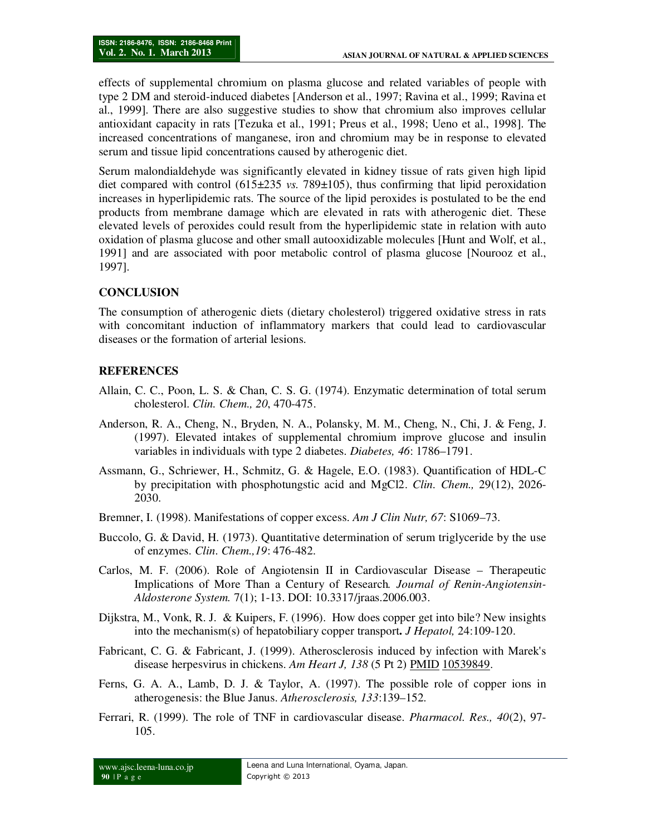effects of supplemental chromium on plasma glucose and related variables of people with type 2 DM and steroid-induced diabetes [Anderson et al., 1997; Ravina et al., 1999; Ravina et al., 1999]. There are also suggestive studies to show that chromium also improves cellular antioxidant capacity in rats [Tezuka et al., 1991; Preus et al., 1998; Ueno et al., 1998]. The increased concentrations of manganese, iron and chromium may be in response to elevated serum and tissue lipid concentrations caused by atherogenic diet.

Serum malondialdehyde was significantly elevated in kidney tissue of rats given high lipid diet compared with control  $(615\pm235 \text{ vs. } 789\pm105)$ , thus confirming that lipid peroxidation increases in hyperlipidemic rats. The source of the lipid peroxides is postulated to be the end products from membrane damage which are elevated in rats with atherogenic diet. These elevated levels of peroxides could result from the hyperlipidemic state in relation with auto oxidation of plasma glucose and other small autooxidizable molecules [Hunt and Wolf, et al., 1991] and are associated with poor metabolic control of plasma glucose [Nourooz et al., 1997].

#### **CONCLUSION**

The consumption of atherogenic diets (dietary cholesterol) triggered oxidative stress in rats with concomitant induction of inflammatory markers that could lead to cardiovascular diseases or the formation of arterial lesions.

## **REFERENCES**

- Allain, C. C., Poon, L. S. & Chan, C. S. G. (1974). Enzymatic determination of total serum cholesterol. *Clin. Chem., 20*, 470-475.
- Anderson, R. A., Cheng, N., Bryden, N. A., Polansky, M. M., Cheng, N., Chi, J. & Feng, J. (1997). Elevated intakes of supplemental chromium improve glucose and insulin variables in individuals with type 2 diabetes. *Diabetes, 46*: 1786–1791.
- Assmann, G., Schriewer, H., Schmitz, G. & Hagele, E.O. (1983). Quantification of HDL-C by precipitation with phosphotungstic acid and MgCl2. *Clin. Chem.,* 29(12), 2026- 2030.
- Bremner, I. (1998). Manifestations of copper excess. *Am J Clin Nutr, 67*: S1069–73.
- Buccolo, G. & David, H. (1973). Quantitative determination of serum triglyceride by the use of enzymes. *Clin. Chem.,19*: 476-482.
- Carlos, M. F. (2006). Role of Angiotensin II in Cardiovascular Disease Therapeutic Implications of More Than a Century of Research*. Journal of Renin-Angiotensin-Aldosterone System.* 7(1); 1-13. DOI: 10.3317/jraas.2006.003.
- Dijkstra, M., Vonk, R. J. & Kuipers, F. (1996). How does copper get into bile? New insights into the mechanism(s) of hepatobiliary copper transport**.** *J Hepatol,* 24:109-120.
- Fabricant, C. G. & Fabricant, J. (1999). Atherosclerosis induced by infection with Marek's disease herpesvirus in chickens. *Am Heart J, 138* (5 Pt 2) PMID 10539849.
- Ferns, G. A. A., Lamb, D. J. & Taylor, A. (1997). The possible role of copper ions in atherogenesis: the Blue Janus. *Atherosclerosis, 133*:139–152.
- Ferrari, R. (1999). The role of TNF in cardiovascular disease. *Pharmacol. Res., 40*(2), 97- 105.

www.ajsc.leena-luna.co.jp **90** | P a g e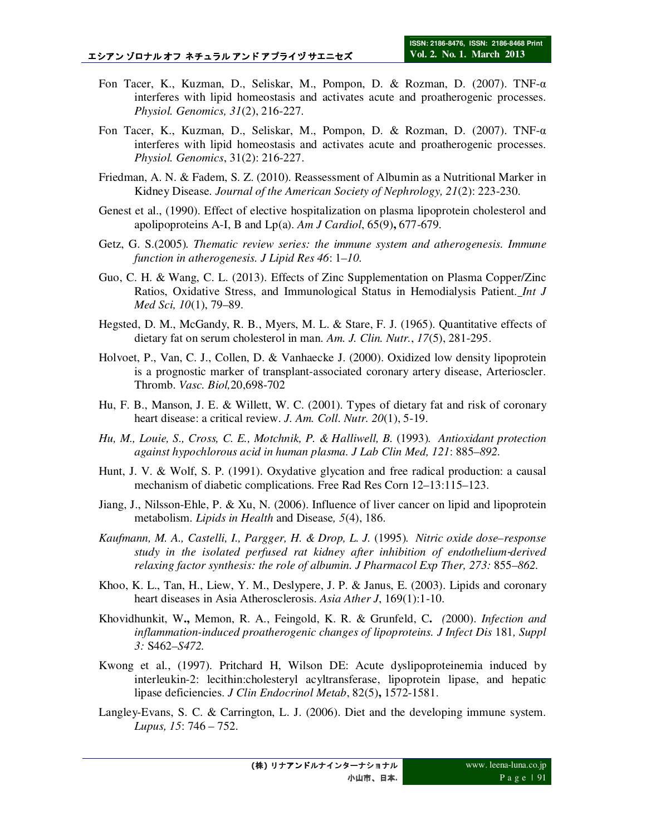- Fon Tacer, K., Kuzman, D., Seliskar, M., Pompon, D. & Rozman, D. (2007). TNF-α interferes with lipid homeostasis and activates acute and proatherogenic processes. *Physiol. Genomics, 31*(2), 216-227.
- Fon Tacer, K., Kuzman, D., Seliskar, M., Pompon, D. & Rozman, D. (2007). TNF-α interferes with lipid homeostasis and activates acute and proatherogenic processes. *Physiol. Genomics*, 31(2): 216-227.
- Friedman, A. N. & Fadem, S. Z. (2010). Reassessment of Albumin as a Nutritional Marker in Kidney Disease. *Journal of the American Society of Nephrology, 21*(2): 223-230.
- Genest et al., (1990). Effect of elective hospitalization on plasma lipoprotein cholesterol and apolipoproteins A-I, B and Lp(a). *Am J Cardiol*, 65(9)**,** 677-679.
- Getz, G. S.(2005)*. Thematic review series: the immune system and atherogenesis. Immune function in atherogenesis. J Lipid Res 46*: 1*–10.*
- Guo, C. H. & Wang, C. L. (2013). Effects of Zinc Supplementation on Plasma Copper/Zinc Ratios, Oxidative Stress, and Immunological Status in Hemodialysis Patient. *Int J Med Sci, 10*(1), 79–89.
- Hegsted, D. M., McGandy, R. B., Myers, M. L. & Stare, F. J. (1965). Quantitative effects of dietary fat on serum cholesterol in man. *Am. J. Clin. Nutr.*, *17*(5), 281-295.
- Holvoet, P., Van, C. J., Collen, D. & Vanhaecke J. (2000). Oxidized low density lipoprotein is a prognostic marker of transplant-associated coronary artery disease, Arterioscler. Thromb. *Vasc. Biol,*20,698-702
- Hu, F. B., Manson, J. E. & Willett, W. C. (2001). Types of dietary fat and risk of coronary heart disease: a critical review. *J. Am. Coll. Nutr. 20*(1), 5-19.
- *Hu, M., Louie, S., Cross, C. E., Motchnik, P. & Halliwell, B.* (1993)*. Antioxidant protection against hypochlorous acid in human plasma. J Lab Clin Med, 121*: 885*–892.*
- Hunt, J. V. & Wolf, S. P. (1991). Oxydative glycation and free radical production: a causal mechanism of diabetic complications. Free Rad Res Corn 12–13:115–123.
- Jiang, J., Nilsson-Ehle, P. & Xu, N. (2006). Influence of liver cancer on lipid and lipoprotein metabolism. *Lipids in Health* and Disease*, 5*(4), 186.
- *Kaufmann, M. A., Castelli, I., Pargger, H. & Drop, L. J.* (1995)*. Nitric oxide dose–response study in the isolated perfused rat kidney after inhibition of endothelium*‐*derived relaxing factor synthesis: the role of albumin. J Pharmacol Exp Ther, 273:* 855*–862.*
- Khoo, K. L., Tan, H., Liew, Y. M., Deslypere, J. P. & Janus, E. (2003). Lipids and coronary heart diseases in Asia Atherosclerosis. *Asia Ather J*, 169(1):1-10.
- Khovidhunkit, W**.,** Memon, R. A., Feingold, K. R. & Grunfeld, C**.** *(*2000). *Infection and inflammation-induced proatherogenic changes of lipoproteins. J Infect Dis 181, Suppl 3:* S462*–S472.*
- Kwong et al., (1997). Pritchard H, Wilson DE: Acute dyslipoproteinemia induced by interleukin-2: lecithin:cholesteryl acyltransferase, lipoprotein lipase, and hepatic lipase deficiencies. *J Clin Endocrinol Metab*, 82(5)**,** 1572-1581.
- Langley-Evans, S. C. & Carrington, L. J. (2006). Diet and the developing immune system. *Lupus, 15*: 746 – 752.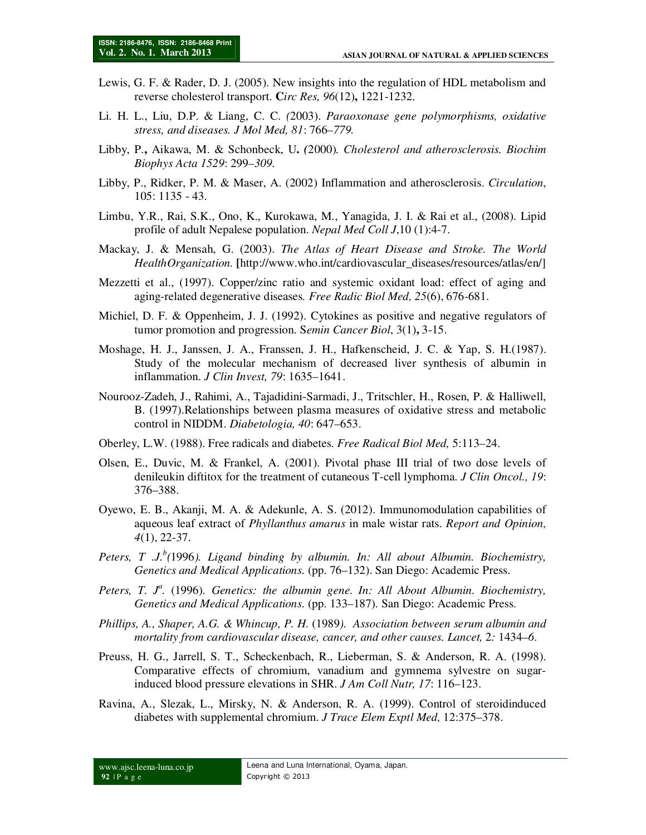- Lewis, G. F. & Rader, D. J. (2005). New insights into the regulation of HDL metabolism and reverse cholesterol transport. **C***irc Res, 96*(12)**,** 1221-1232.
- Li. H. L., Liu, D.P. & Liang, C. C. *(*2003). *Paraoxonase gene polymorphisms, oxidative stress, and diseases. J Mol Med, 81*: 766*–779.*
- Libby, P.**,** Aikawa, M. & Schonbeck, U**.** *(*2000)*. Cholesterol and atherosclerosis. Biochim Biophys Acta 1529*: 299*–309.*
- Libby, P., Ridker, P. M. & Maser, A. (2002) Inflammation and atherosclerosis. *Circulation*, 105: 1135 - 43.
- Limbu, Y.R., Rai, S.K., Ono, K., Kurokawa, M., Yanagida, J. I. & Rai et al., (2008). Lipid profile of adult Nepalese population. *Nepal Med Coll J*,10 (1):4-7.
- Mackay, J. & Mensah, G. (2003). *The Atlas of Heart Disease and Stroke. The World HealthOrganization.* **[**http://www.who.int/cardiovascular\_diseases/resources/atlas/en/]
- Mezzetti et al., (1997). Copper/zinc ratio and systemic oxidant load: effect of aging and aging-related degenerative diseases*. Free Radic Biol Med, 25*(6), 676-681.
- Michiel, D. F. & Oppenheim, J. J. (1992). Cytokines as positive and negative regulators of tumor promotion and progression. S*emin Cancer Biol*, 3(1)**,** 3-15.
- Moshage, H. J., Janssen, J. A., Franssen, J. H., Hafkenscheid, J. C. & Yap, S. H.(1987). Study of the molecular mechanism of decreased liver synthesis of albumin in inflammation. *J Clin Invest, 79*: 1635–1641.
- Nourooz-Zadeh, J., Rahimi, A., Tajadidini-Sarmadi, J., Tritschler, H., Rosen, P. & Halliwell, B. (1997).Relationships between plasma measures of oxidative stress and metabolic control in NIDDM. *Diabetologia, 40*: 647–653.
- Oberley, L.W. (1988). Free radicals and diabetes. *Free Radical Biol Med,* 5:113–24.
- Olsen, E., Duvic, M. & Frankel, A. (2001). Pivotal phase III trial of two dose levels of denileukin diftitox for the treatment of cutaneous T-cell lymphoma. *J Clin Oncol., 19*: 376–388.
- Oyewo, E. B., Akanji, M. A. & Adekunle, A. S. (2012). Immunomodulation capabilities of aqueous leaf extract of *Phyllanthus amarus* in male wistar rats. *Report and Opinion, 4*(1), 22-37.
- *Peters, T .J.<sup>b</sup> (*1996*). Ligand binding by albumin. In: All about Albumin. Biochemistry, Genetics and Medical Applications.* (pp. 76–132). San Diego: Academic Press.
- Peters, T. J<sup>a</sup>. (1996). Genetics: the albumin gene. In: All About Albumin. Biochemistry, *Genetics and Medical Applications.* (pp. 133–187). San Diego: Academic Press.
- *Phillips, A., Shaper, A.G. & Whincup, P. H.* (1989*). Association between serum albumin and mortality from cardiovascular disease, cancer, and other causes. Lancet,* 2*:* 1434*–6*.
- Preuss, H. G., Jarrell, S. T., Scheckenbach, R., Lieberman, S. & Anderson, R. A. (1998). Comparative effects of chromium, vanadium and gymnema sylvestre on sugarinduced blood pressure elevations in SHR. *J Am Coll Nutr, 17*: 116–123.
- Ravina, A., Slezak, L., Mirsky, N. & Anderson, R. A. (1999). Control of steroidinduced diabetes with supplemental chromium. *J Trace Elem Exptl Med,* 12:375–378.